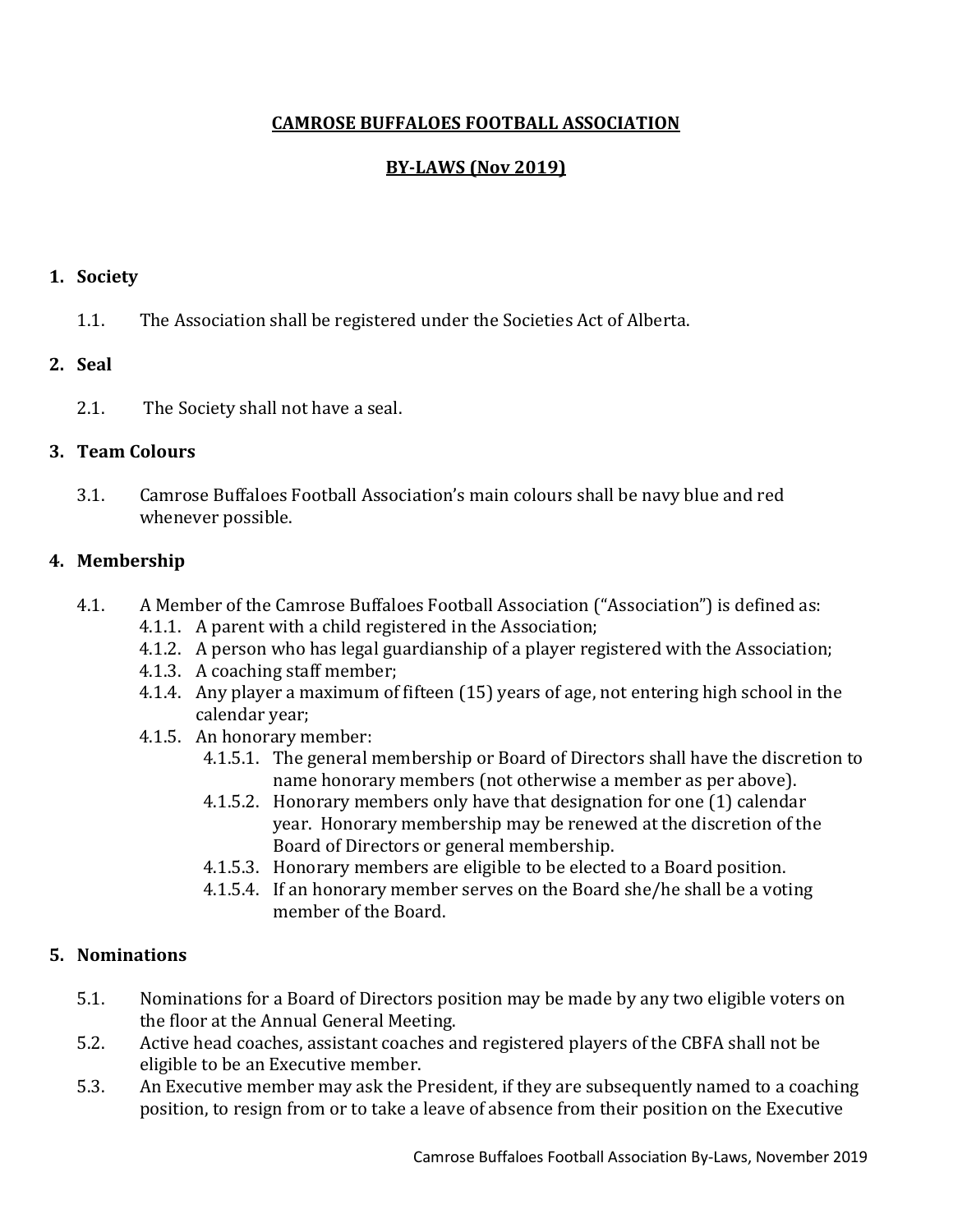### CAMROSE BUFFALOES FOOTBALL ASSOCIATION

# BY-LAWS (Nov 2019)

#### 1. Society

1.1. The Association shall be registered under the Societies Act of Alberta.

## 2. Seal

2.1. The Society shall not have a seal.

### 3. Team Colours

3.1. Camrose Buffaloes Football Association's main colours shall be navy blue and red whenever possible.

### 4. Membership

- 4.1. A Member of the Camrose Buffaloes Football Association ("Association") is defined as:
	- 4.1.1. A parent with a child registered in the Association;
	- 4.1.2. A person who has legal guardianship of a player registered with the Association;
	- 4.1.3. A coaching staff member;
	- 4.1.4. Any player a maximum of fifteen (15) years of age, not entering high school in the calendar year;
	- 4.1.5. An honorary member:
		- 4.1.5.1. The general membership or Board of Directors shall have the discretion to name honorary members (not otherwise a member as per above).
		- 4.1.5.2. Honorary members only have that designation for one (1) calendar year. Honorary membership may be renewed at the discretion of the Board of Directors or general membership.
		- 4.1.5.3. Honorary members are eligible to be elected to a Board position.
		- 4.1.5.4. If an honorary member serves on the Board she/he shall be a voting member of the Board.

### 5. Nominations

- 5.1. Nominations for a Board of Directors position may be made by any two eligible voters on the floor at the Annual General Meeting.
- 5.2. Active head coaches, assistant coaches and registered players of the CBFA shall not be eligible to be an Executive member.
- 5.3. An Executive member may ask the President, if they are subsequently named to a coaching position, to resign from or to take a leave of absence from their position on the Executive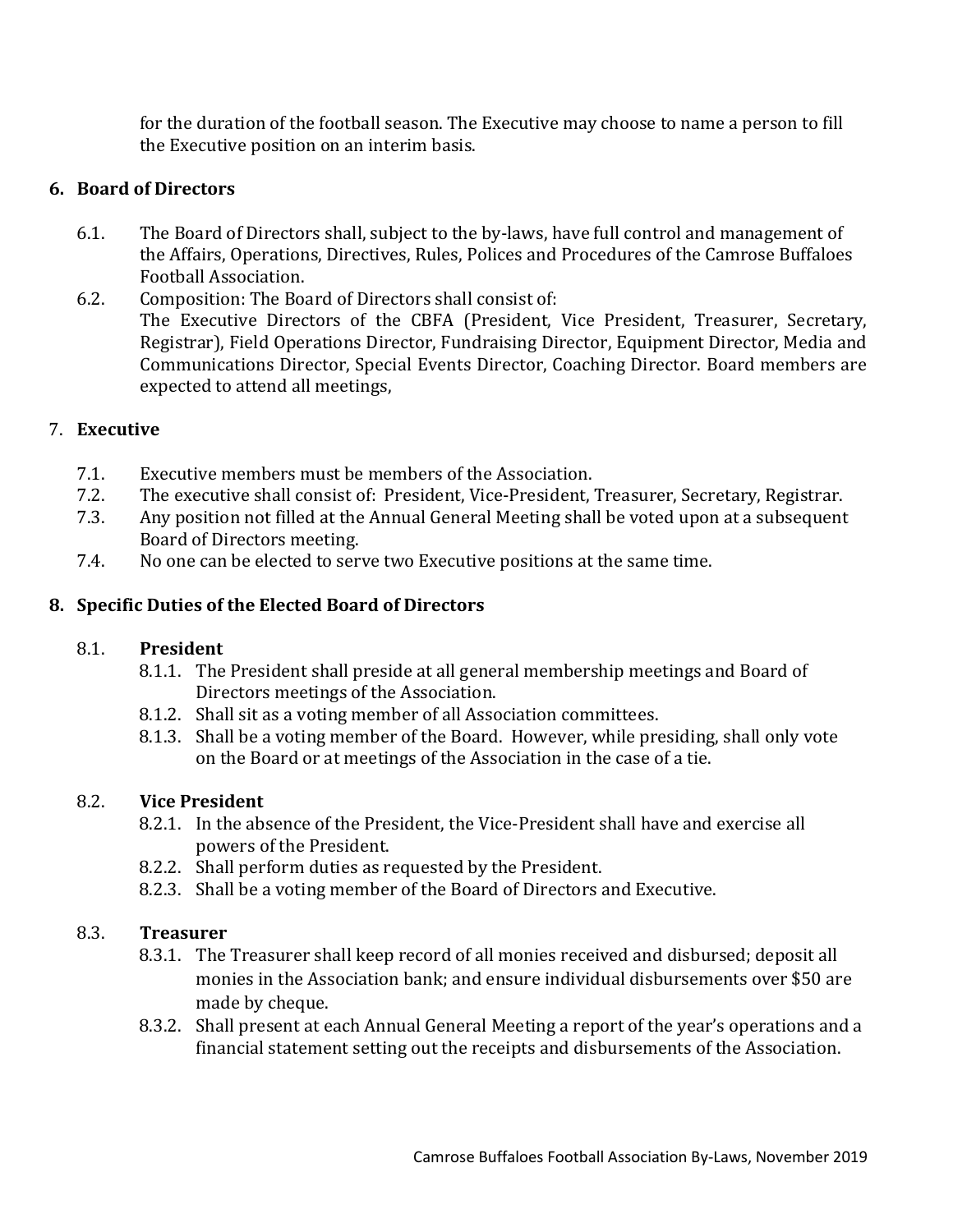for the duration of the football season. The Executive may choose to name a person to fill the Executive position on an interim basis.

#### 6. Board of Directors

- 6.1. The Board of Directors shall, subject to the by-laws, have full control and management of the Affairs, Operations, Directives, Rules, Polices and Procedures of the Camrose Buffaloes Football Association.
- 6.2. Composition: The Board of Directors shall consist of: The Executive Directors of the CBFA (President, Vice President, Treasurer, Secretary, Registrar), Field Operations Director, Fundraising Director, Equipment Director, Media and Communications Director, Special Events Director, Coaching Director. Board members are expected to attend all meetings,

#### 7. Executive

- 7.1. Executive members must be members of the Association.
- 7.2. The executive shall consist of: President, Vice-President, Treasurer, Secretary, Registrar.
- 7.3. Any position not filled at the Annual General Meeting shall be voted upon at a subsequent Board of Directors meeting.
- 7.4. No one can be elected to serve two Executive positions at the same time.

#### 8. Specific Duties of the Elected Board of Directors

#### 8.1. President

- 8.1.1. The President shall preside at all general membership meetings and Board of Directors meetings of the Association.
- 8.1.2. Shall sit as a voting member of all Association committees.
- 8.1.3. Shall be a voting member of the Board. However, while presiding, shall only vote on the Board or at meetings of the Association in the case of a tie.

#### 8.2. Vice President

- 8.2.1. In the absence of the President, the Vice-President shall have and exercise all powers of the President.
- 8.2.2. Shall perform duties as requested by the President.
- 8.2.3. Shall be a voting member of the Board of Directors and Executive.

#### 8.3. Treasurer

- 8.3.1. The Treasurer shall keep record of all monies received and disbursed; deposit all monies in the Association bank; and ensure individual disbursements over \$50 are made by cheque.
- 8.3.2. Shall present at each Annual General Meeting a report of the year's operations and a financial statement setting out the receipts and disbursements of the Association.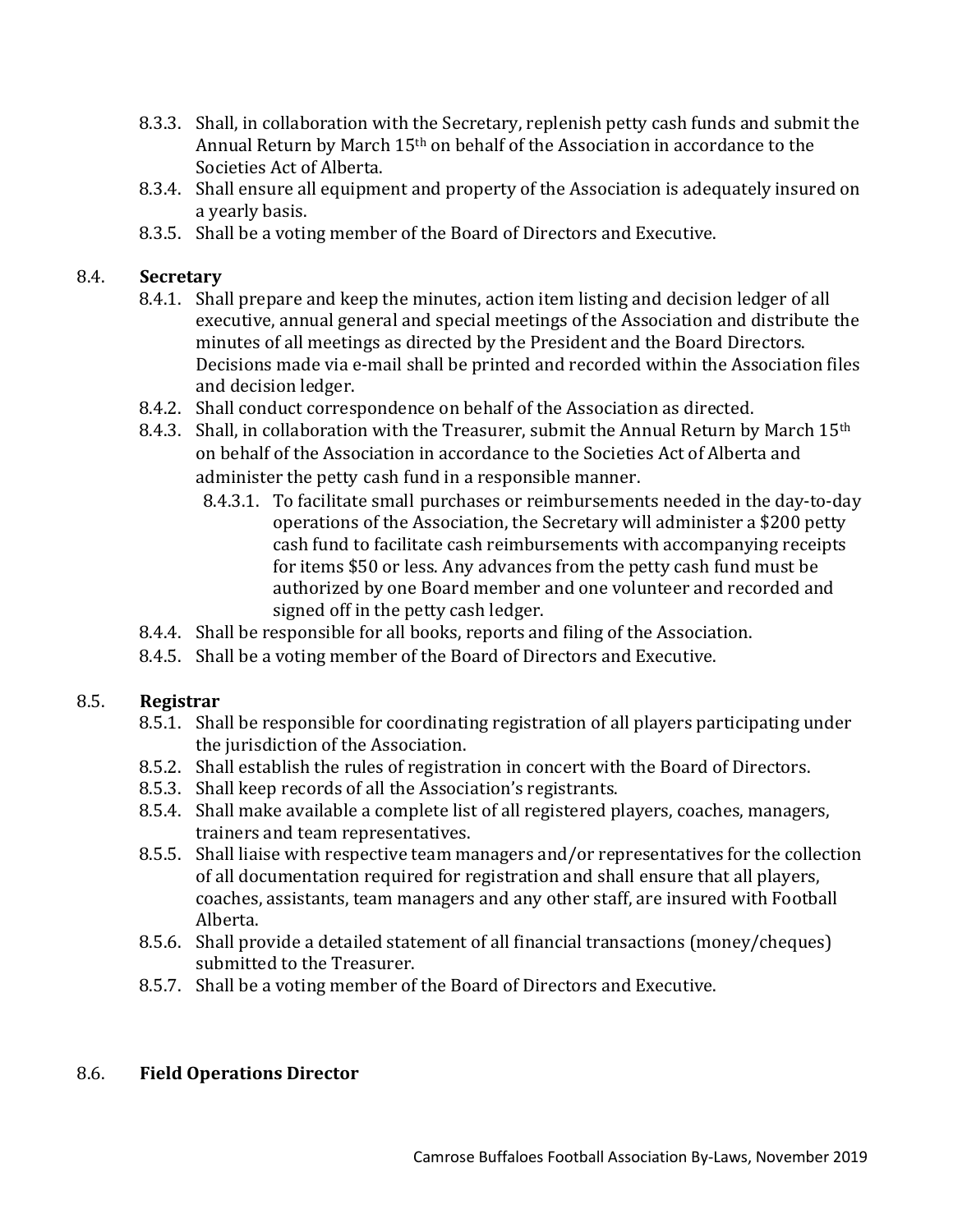- 8.3.3. Shall, in collaboration with the Secretary, replenish petty cash funds and submit the Annual Return by March 15<sup>th</sup> on behalf of the Association in accordance to the Societies Act of Alberta.
- 8.3.4. Shall ensure all equipment and property of the Association is adequately insured on a yearly basis.
- 8.3.5. Shall be a voting member of the Board of Directors and Executive.

#### 8.4. Secretary

- 8.4.1. Shall prepare and keep the minutes, action item listing and decision ledger of all executive, annual general and special meetings of the Association and distribute the minutes of all meetings as directed by the President and the Board Directors. Decisions made via e-mail shall be printed and recorded within the Association files and decision ledger.
- 8.4.2. Shall conduct correspondence on behalf of the Association as directed.
- 8.4.3. Shall, in collaboration with the Treasurer, submit the Annual Return by March  $15<sup>th</sup>$  on behalf of the Association in accordance to the Societies Act of Alberta and administer the petty cash fund in a responsible manner.
	- 8.4.3.1. To facilitate small purchases or reimbursements needed in the day-to-day operations of the Association, the Secretary will administer a \$200 petty cash fund to facilitate cash reimbursements with accompanying receipts for items \$50 or less. Any advances from the petty cash fund must be authorized by one Board member and one volunteer and recorded and signed off in the petty cash ledger.
- 8.4.4. Shall be responsible for all books, reports and filing of the Association.
- 8.4.5. Shall be a voting member of the Board of Directors and Executive.

### 8.5. Registrar

- 8.5.1. Shall be responsible for coordinating registration of all players participating under the jurisdiction of the Association.
- 8.5.2. Shall establish the rules of registration in concert with the Board of Directors.
- 8.5.3. Shall keep records of all the Association's registrants.
- 8.5.4. Shall make available a complete list of all registered players, coaches, managers, trainers and team representatives.
- 8.5.5. Shall liaise with respective team managers and/or representatives for the collection of all documentation required for registration and shall ensure that all players, coaches, assistants, team managers and any other staff, are insured with Football Alberta.
- 8.5.6. Shall provide a detailed statement of all financial transactions (money/cheques) submitted to the Treasurer.
- 8.5.7. Shall be a voting member of the Board of Directors and Executive.

#### 8.6. Field Operations Director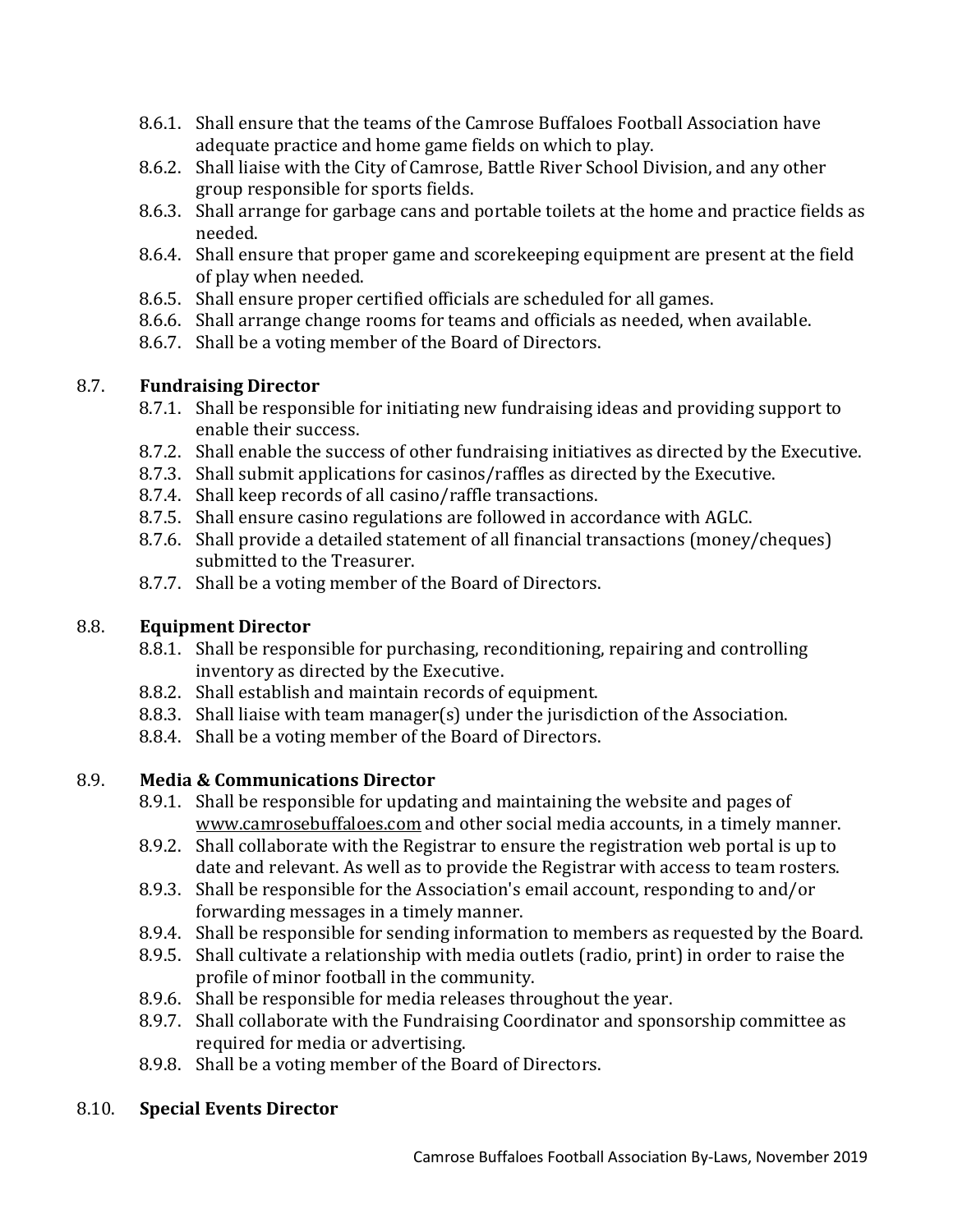- 8.6.1. Shall ensure that the teams of the Camrose Buffaloes Football Association have adequate practice and home game fields on which to play.
- 8.6.2. Shall liaise with the City of Camrose, Battle River School Division, and any other group responsible for sports fields.
- 8.6.3. Shall arrange for garbage cans and portable toilets at the home and practice fields as needed.
- 8.6.4. Shall ensure that proper game and scorekeeping equipment are present at the field of play when needed.
- 8.6.5. Shall ensure proper certified officials are scheduled for all games.
- 8.6.6. Shall arrange change rooms for teams and officials as needed, when available.
- 8.6.7. Shall be a voting member of the Board of Directors.

## 8.7. Fundraising Director

- 8.7.1. Shall be responsible for initiating new fundraising ideas and providing support to enable their success.
- 8.7.2. Shall enable the success of other fundraising initiatives as directed by the Executive.
- 8.7.3. Shall submit applications for casinos/raffles as directed by the Executive.
- 8.7.4. Shall keep records of all casino/raffle transactions.
- 8.7.5. Shall ensure casino regulations are followed in accordance with AGLC.
- 8.7.6. Shall provide a detailed statement of all financial transactions (money/cheques) submitted to the Treasurer.
- 8.7.7. Shall be a voting member of the Board of Directors.

# 8.8. Equipment Director

- 8.8.1. Shall be responsible for purchasing, reconditioning, repairing and controlling inventory as directed by the Executive.
- 8.8.2. Shall establish and maintain records of equipment.
- 8.8.3. Shall liaise with team manager(s) under the jurisdiction of the Association.
- 8.8.4. Shall be a voting member of the Board of Directors.

# 8.9. Media & Communications Director

- 8.9.1. Shall be responsible for updating and maintaining the website and pages of www.camrosebuffaloes.com and other social media accounts, in a timely manner.
- 8.9.2. Shall collaborate with the Registrar to ensure the registration web portal is up to date and relevant. As well as to provide the Registrar with access to team rosters.
- 8.9.3. Shall be responsible for the Association's email account, responding to and/or forwarding messages in a timely manner.
- 8.9.4. Shall be responsible for sending information to members as requested by the Board.
- 8.9.5. Shall cultivate a relationship with media outlets (radio, print) in order to raise the profile of minor football in the community.
- 8.9.6. Shall be responsible for media releases throughout the year.
- 8.9.7. Shall collaborate with the Fundraising Coordinator and sponsorship committee as required for media or advertising.
- 8.9.8. Shall be a voting member of the Board of Directors.

### 8.10. Special Events Director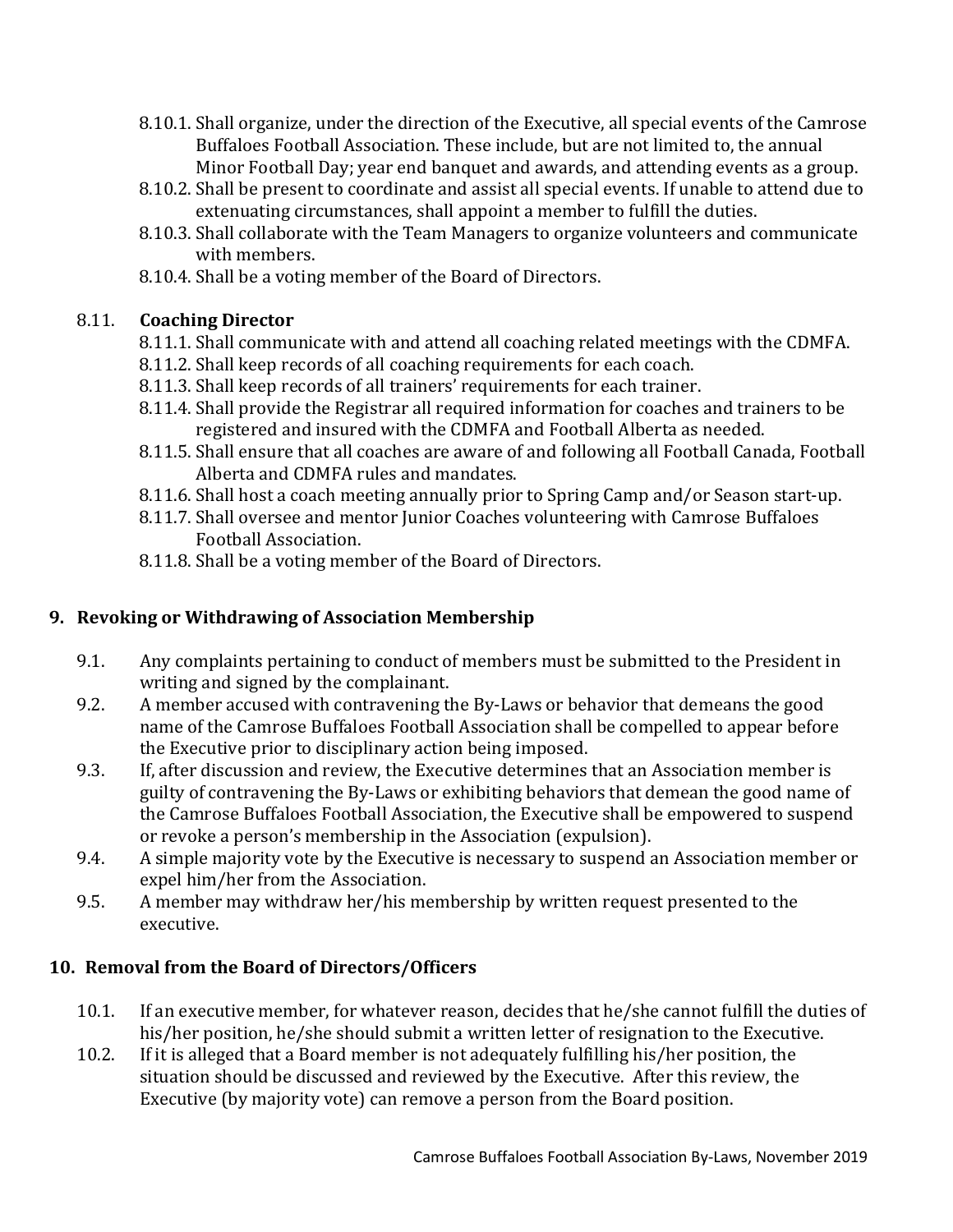- 8.10.1. Shall organize, under the direction of the Executive, all special events of the Camrose Buffaloes Football Association. These include, but are not limited to, the annual Minor Football Day; year end banquet and awards, and attending events as a group.
- 8.10.2. Shall be present to coordinate and assist all special events. If unable to attend due to extenuating circumstances, shall appoint a member to fulfill the duties.
- 8.10.3. Shall collaborate with the Team Managers to organize volunteers and communicate with members.
- 8.10.4. Shall be a voting member of the Board of Directors.

# 8.11. Coaching Director

- 8.11.1. Shall communicate with and attend all coaching related meetings with the CDMFA.
- 8.11.2. Shall keep records of all coaching requirements for each coach.
- 8.11.3. Shall keep records of all trainers' requirements for each trainer.
- 8.11.4. Shall provide the Registrar all required information for coaches and trainers to be registered and insured with the CDMFA and Football Alberta as needed.
- 8.11.5. Shall ensure that all coaches are aware of and following all Football Canada, Football Alberta and CDMFA rules and mandates.
- 8.11.6. Shall host a coach meeting annually prior to Spring Camp and/or Season start-up.
- 8.11.7. Shall oversee and mentor Junior Coaches volunteering with Camrose Buffaloes Football Association.
- 8.11.8. Shall be a voting member of the Board of Directors.

# 9. Revoking or Withdrawing of Association Membership

- 9.1. Any complaints pertaining to conduct of members must be submitted to the President in writing and signed by the complainant.
- 9.2. A member accused with contravening the By-Laws or behavior that demeans the good name of the Camrose Buffaloes Football Association shall be compelled to appear before the Executive prior to disciplinary action being imposed.
- 9.3. If, after discussion and review, the Executive determines that an Association member is guilty of contravening the By-Laws or exhibiting behaviors that demean the good name of the Camrose Buffaloes Football Association, the Executive shall be empowered to suspend or revoke a person's membership in the Association (expulsion).
- 9.4. A simple majority vote by the Executive is necessary to suspend an Association member or expel him/her from the Association.
- 9.5. A member may withdraw her/his membership by written request presented to the executive.

# 10. Removal from the Board of Directors/Officers

- 10.1. If an executive member, for whatever reason, decides that he/she cannot fulfill the duties of his/her position, he/she should submit a written letter of resignation to the Executive.
- 10.2. If it is alleged that a Board member is not adequately fulfilling his/her position, the situation should be discussed and reviewed by the Executive. After this review, the Executive (by majority vote) can remove a person from the Board position.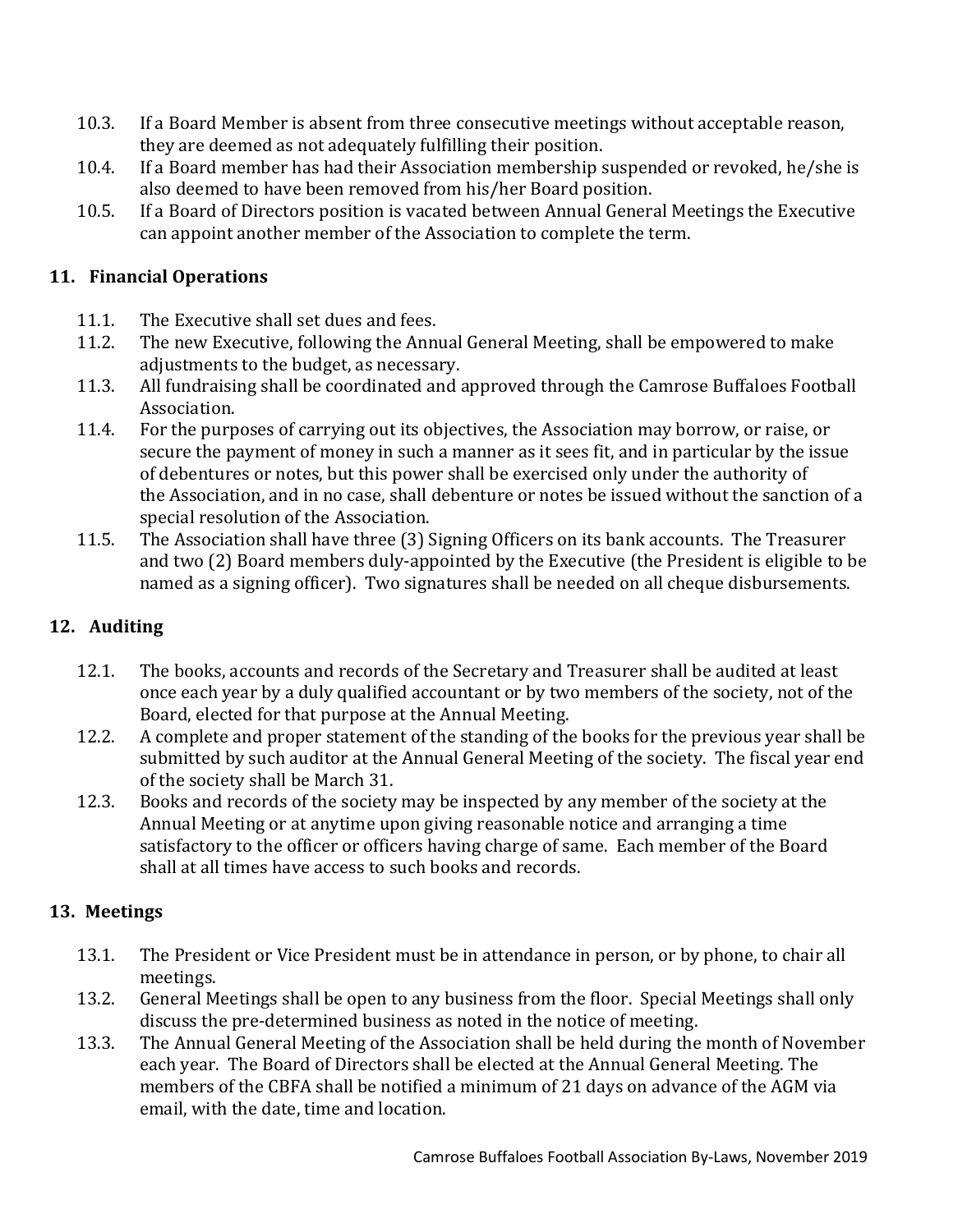- 10.3. If a Board Member is absent from three consecutive meetings without acceptable reason, they are deemed as not adequately fulfilling their position.
- 10.4. If a Board member has had their Association membership suspended or revoked, he/she is also deemed to have been removed from his/her Board position.
- 10.5. If a Board of Directors position is vacated between Annual General Meetings the Executive can appoint another member of the Association to complete the term.

## 11. Financial Operations

- 11.1. The Executive shall set dues and fees.
- 11.2. The new Executive, following the Annual General Meeting, shall be empowered to make adjustments to the budget, as necessary.
- 11.3. All fundraising shall be coordinated and approved through the Camrose Buffaloes Football Association.
- 11.4. For the purposes of carrying out its objectives, the Association may borrow, or raise, or secure the payment of money in such a manner as it sees fit, and in particular by the issue of debentures or notes, but this power shall be exercised only under the authority of the Association, and in no case, shall debenture or notes be issued without the sanction of a special resolution of the Association.
- 11.5. The Association shall have three (3) Signing Officers on its bank accounts. The Treasurer and two (2) Board members duly-appointed by the Executive (the President is eligible to be named as a signing officer). Two signatures shall be needed on all cheque disbursements.

# 12. Auditing

- 12.1. The books, accounts and records of the Secretary and Treasurer shall be audited at least once each year by a duly qualified accountant or by two members of the society, not of the Board, elected for that purpose at the Annual Meeting.
- 12.2. A complete and proper statement of the standing of the books for the previous year shall be submitted by such auditor at the Annual General Meeting of the society. The fiscal year end of the society shall be March 31.
- 12.3. Books and records of the society may be inspected by any member of the society at the Annual Meeting or at anytime upon giving reasonable notice and arranging a time satisfactory to the officer or officers having charge of same. Each member of the Board shall at all times have access to such books and records.

# 13. Meetings

- 13.1. The President or Vice President must be in attendance in person, or by phone, to chair all meetings.
- 13.2. General Meetings shall be open to any business from the floor. Special Meetings shall only discuss the pre-determined business as noted in the notice of meeting.
- 13.3. The Annual General Meeting of the Association shall be held during the month of November each year. The Board of Directors shall be elected at the Annual General Meeting. The members of the CBFA shall be notified a minimum of 21 days on advance of the AGM via email, with the date, time and location.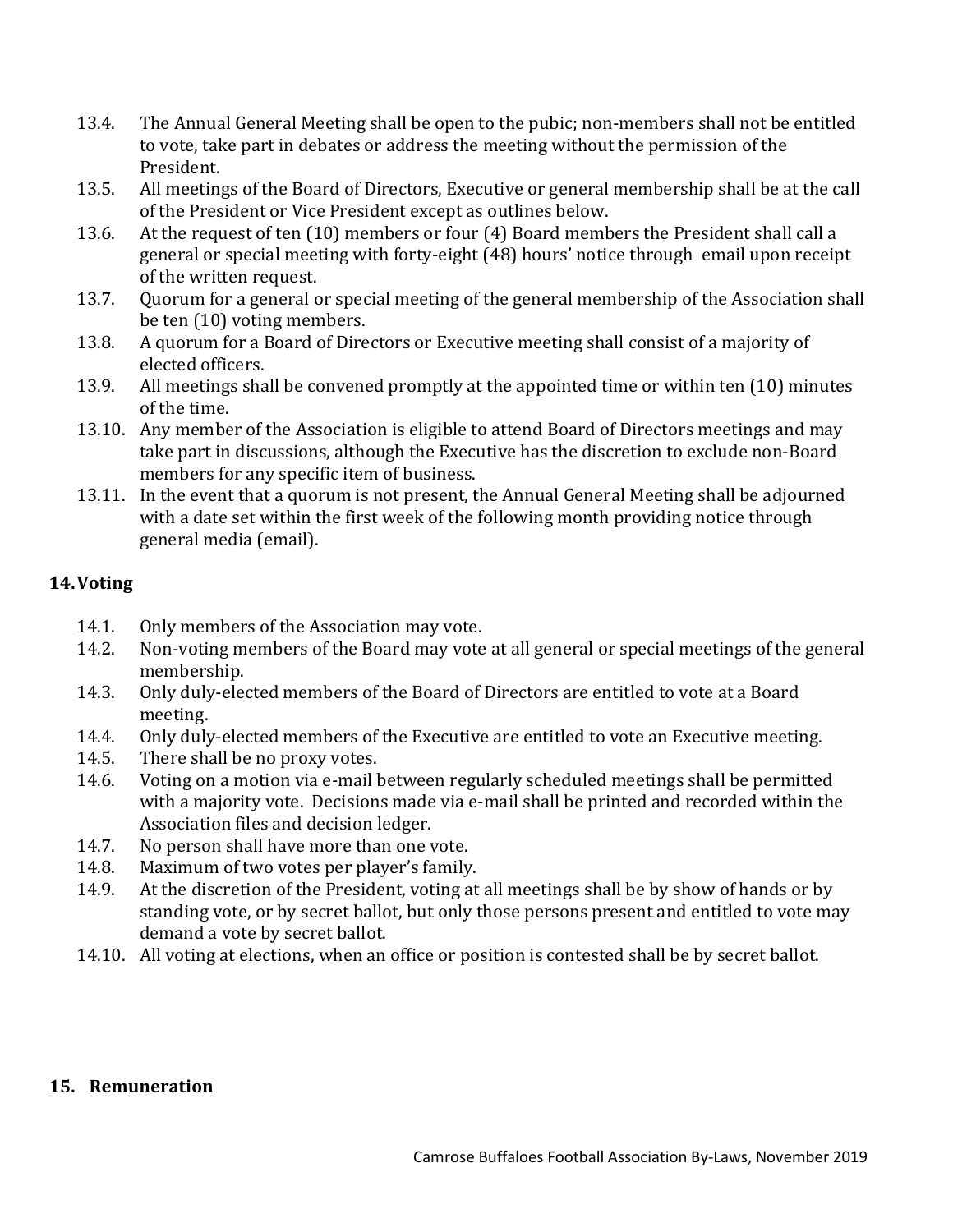- 13.4. The Annual General Meeting shall be open to the pubic; non-members shall not be entitled to vote, take part in debates or address the meeting without the permission of the President.
- 13.5. All meetings of the Board of Directors, Executive or general membership shall be at the call of the President or Vice President except as outlines below.
- 13.6. At the request of ten (10) members or four (4) Board members the President shall call a general or special meeting with forty-eight (48) hours' notice through email upon receipt of the written request.
- 13.7. Quorum for a general or special meeting of the general membership of the Association shall be ten (10) voting members.
- 13.8. A quorum for a Board of Directors or Executive meeting shall consist of a majority of elected officers.
- 13.9. All meetings shall be convened promptly at the appointed time or within ten (10) minutes of the time.
- 13.10. Any member of the Association is eligible to attend Board of Directors meetings and may take part in discussions, although the Executive has the discretion to exclude non-Board members for any specific item of business.
- 13.11. In the event that a quorum is not present, the Annual General Meeting shall be adjourned with a date set within the first week of the following month providing notice through general media (email).

## 14.Voting

- 14.1. Only members of the Association may vote.
- 14.2. Non-voting members of the Board may vote at all general or special meetings of the general membership.
- 14.3. Only duly-elected members of the Board of Directors are entitled to vote at a Board meeting.
- 14.4. Only duly-elected members of the Executive are entitled to vote an Executive meeting.
- 14.5. There shall be no proxy votes.
- 14.6. Voting on a motion via e-mail between regularly scheduled meetings shall be permitted with a majority vote. Decisions made via e-mail shall be printed and recorded within the Association files and decision ledger.
- 14.7. No person shall have more than one vote.
- 14.8. Maximum of two votes per player's family.
- 14.9. At the discretion of the President, voting at all meetings shall be by show of hands or by standing vote, or by secret ballot, but only those persons present and entitled to vote may demand a vote by secret ballot.
- 14.10. All voting at elections, when an office or position is contested shall be by secret ballot.

#### 15. Remuneration